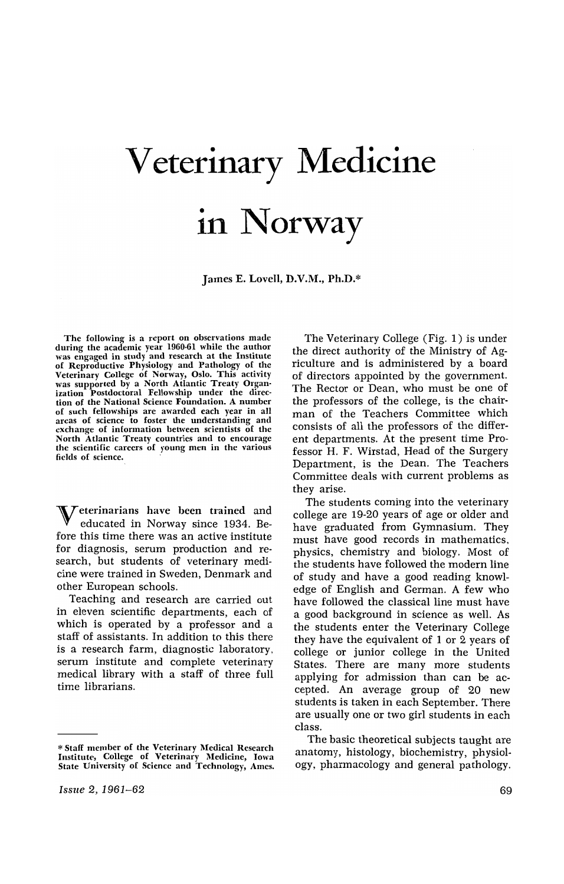## Veterinary Medicine in Norway

James E. Lovell, D.V.M., Ph.D.\*

The following is a report on observations made during the academic year 1960-61 while the author was engaged in study and research at the Institute of Reproductive Physiology and Pathology of the Veterinary College of Norway, Oslo. This activity was supported by a North Atlantic Treaty Organization Postdoctoral Fellowship under the direction of the National Science Foundation. A number of such fellowships are awarded each year in all areas of science to foster the understanding and exchange of information between scientists of the North Atlantic Treaty countries and to encourage the scientific careers of young men in the various fields of science.

Veterinarians have been trained and educated in Norway since 1934. Before this time there was an active institute for diagnosis, serum production and research, but students of veterinary medicine were trained in Sweden, Denmark and other European schools.

Teaching and research are carried out in eleven scientific departments, each of which is operated by a professor and a staff of assistants. In addition to this there is a research farm, diagnostic laboratory, serum institute and complete veterinary medical library with a staff of three full time librarians.

The Veterinary College (Fig. 1) is under the direct authority of the Ministry of Agriculture and is administered by a board of directors appointed by the government. The Rector or Dean, who must be one of the professors of the college, is the chairman of the Teachers Committee which consists of all the professors of the different departments. At the present time Professor H. F. Wirstad, Head of the Surgery Department, is the Dean. The Teachers Committee deals with current problems as they arise.

The students coming into the veterinary college are 19-20 years of age or older and have graduated from Gymnasium. They must have good records in mathematics, phYSiCS, chemistry and biology. Most of the students have followed the modern line of study and have a good reading knowledge of English and German. A few who have followed the classical line must have a good background in science as well. As the students enter the Veterinary College they have the equivalent of 1 or 2 years of college or junior college in the United States. There are many more students applying for admission than can be accepted. An average group of 20 new students is taken in each September. There are usually one or two girl students in each class.

The basic theoretical subjects taught are anatomy, histology, biochemistry, physiology, pharmacology and general pathology.

<sup>\*</sup> Staff member of the Veterinary Medical Research Institute, College of Veterinary Medicine, Iowa State University of Science and Technology, Ames.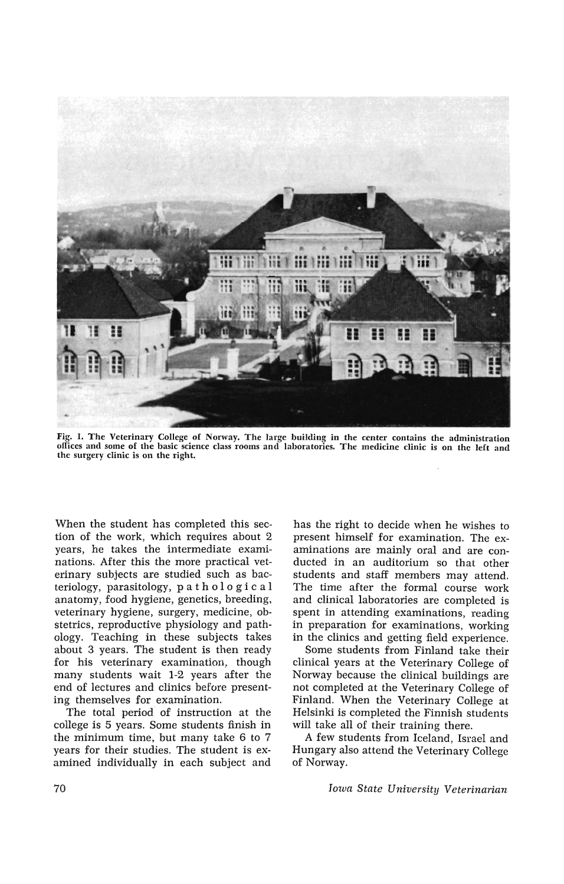

Fig. I. The Veterinary College of Norway. The large building in the center contains the administration offices and some of the basic science class rooms and laboratories. The medicine clinic is on the left and the surgery clinic is on the right.

When the student has completed this section of the work, which requires about 2 years, he takes the intermediate examinations. After this the more practical veterinary subjects are studied such as bacteriology, parasitology, pat hoI 0 g i c a I anatomy, food hygiene, genetics, breeding, veterinary hygiene, surgery, medicine, obstetrics, reproductive physiology and pathology. Teaching in these subjects takes about 3 years. The student is then ready for his veterinary examination, though many students wait 1-2 years after the end of lectures and clinics before presenting themselves for examination.

The total period of instruction at the college is 5 years. Some students finish in the minimum time, but many take 6 to 7 years for their studies. The student is examined individually in each subject and has the right to decide when he wishes to present himself for examination. The examinations are mainly oral and are conducted in an auditorium so that other students and staff members may attend. The time after the formal course work and clinical laboratories are completed is spent in attending examinations, reading in preparation for examinations, working in the clinics and getting field experience.

Some students from Finland take their clinical years at the Veterinary College of Norway because the clinical buildings are not completed at the Veterinary College of Finland. When the Veterinary College at Helsinki is completed the Finnish students will take all of their training there.

A few students from Iceland, Israel and Hungary also attend the Veterinary College of Norway.

*Iowa State University Veterinarian*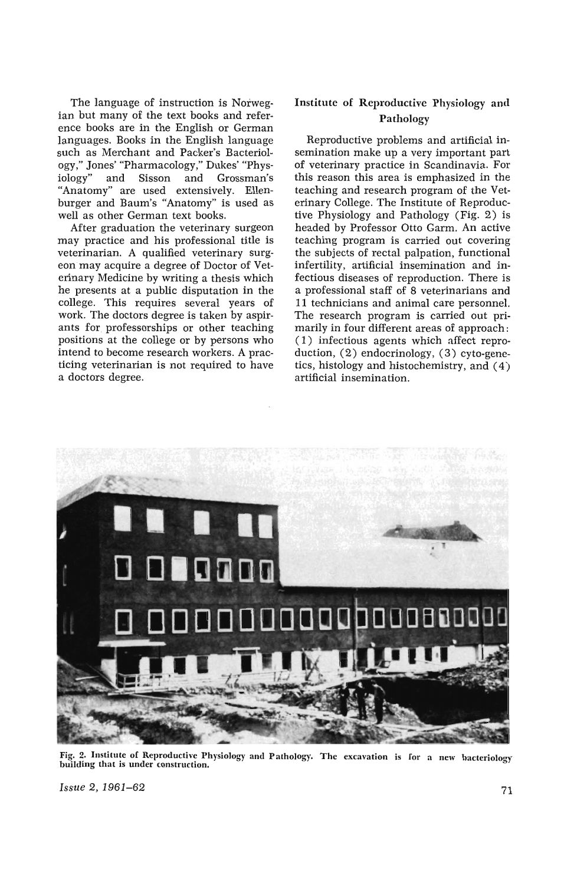The language of instruction is Norwegian but many of the text books and reference books are in the English or German languages. Books in the English language such as Merchant and Packer's Bacteriology," Jones' "Pharmacology," Dukes' "Physiology" and Sisson and Grossman's "Anatomy" are used extensively. Ellenburger and Baum's "Anatomy" is used as well as other German text books.

After graduation the veterinary surgeon may practice and his professional title is veterinarian. A qualified veterinary surgeon may acquire a degree of Doctor of Veterinary Medicine by writing a thesis which he presents at a public disputation in the college. This requires several years of work. The doctors degree is taken by aspirants for professorships or other teaching positions at the college or by persons who intend to become research workers. A practicing veterinarian is not required to have a doctors degree.

## Institute of Reproductive Physiology and Pathology

Reproductive problems and artificial insemination make up a very important part of veterinary practice in Scandinavia. For this reason this area is emphasized in the teaching and research program of the Veterinary College. The Institute of Reproductive Physiology and Pathology (Fig. 2) is headed by Professor Otto Garm. An active teaching program is carried out covering the subjects of rectal palpation, functional infertility, artificial insemination and infectious diseases of reproduction. There is a professional staff of 8 veterinarians and 11 technicians and animal care personnel. The research program is carried out primarily in four different areas of approach: (1) infectious agents which affect reproduction, (2) endocrinology, (3) cyto-genetics, histology and histochemistry, and (4) artificial insemination.



Fig. 2. Institute of Reproductive Physiology and Pathology. The excavation is for a new bacteriology building that is under construction.

*Issue 2, 1961–62* 71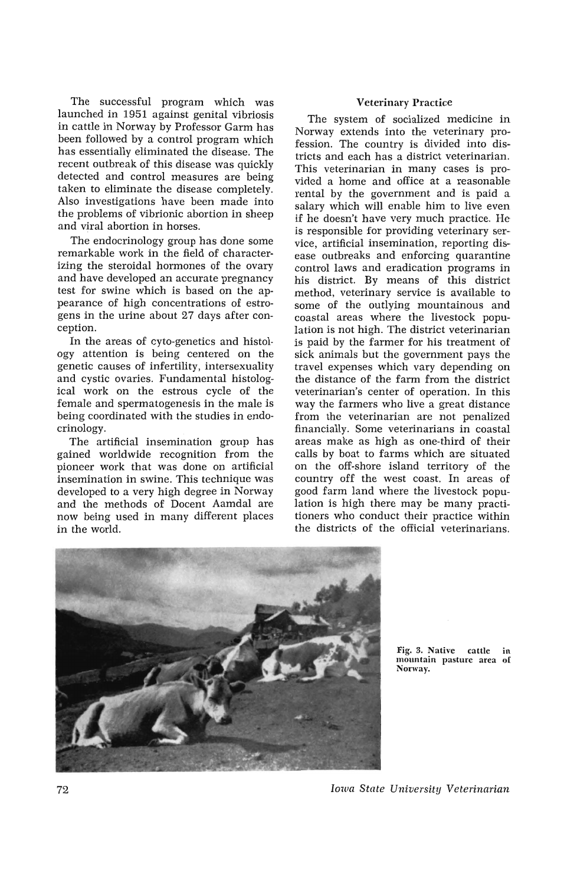The successful program which was launched in 1951 against genital vibriosis in cattle in Norway by Professor Garm has been followed by a control program which has essentially eliminated the disease. The recent outbreak of this disease was quickly detected and control measures are being taken to eliminate the disease completely. Also investigations have been made into the problems of vibrionic abortion in sheep and viral abortion in horses.

The endocrinology group has done some remarkable work in the field of characterizing the steroidal hormones of the ovary and have developed an accurate pregnancy test for swine which is based on the appearance of high concentrations of estrogens in the urine about 27 days after conception.

In the areas of cyto-genetics and histology attention is being centered on the genetic causes of infertility, in tersexuality and cystic ovaries. Fundamental histological work on the estrous cycle of the female and spermatogenesis in the male is being coordinated with the studies in endocrinology.

The artificial insemination group has gained worldwide recognition from the pioneer work that was done on artificial insemination in swine. This technique was developed to a very high degree in Norway and the methods of Docent Aamdal are now being used in many different places in the world.

## Veterinary Practice

The system of socialized medicine in Norway extends into the veterinary profession. The country is divided into districts and each has a district veterinarian. This veterinarian in many cases is provided a home and office at a reasonable rental by the government and is paid a salary which will enable him to live even if he doesn't have very much practice. He is responsible for providing veterinary service, artificial insemination, reporting disease outbreaks and enforcing quarantine control laws and eradication programs in his district. By means of this district method, veterinary service is available to some of the outlying mountainous and coastal areas where the livestock population is not high. The district veterinarian is paid by the farmer for his treatment of sick animals but the government pays the travel expenses which vary depending on the distance of the farm from the district veterinarian's center of operation. In this way the farmers who live a great distance from the veterinarian are not penalized financially. Some veterinarians in coastal areas make as high as one-third of their calls by boat to farms which are situated on the off-shore island territory of the country off the west coast. In areas of good farm land where the livestock population is high there may be many practitioners who conduct their practice within the districts of the official veterinarians.



Fig. 3. Native cattle mountain pasture area of Norway.

*Iowa State University Veterinarian*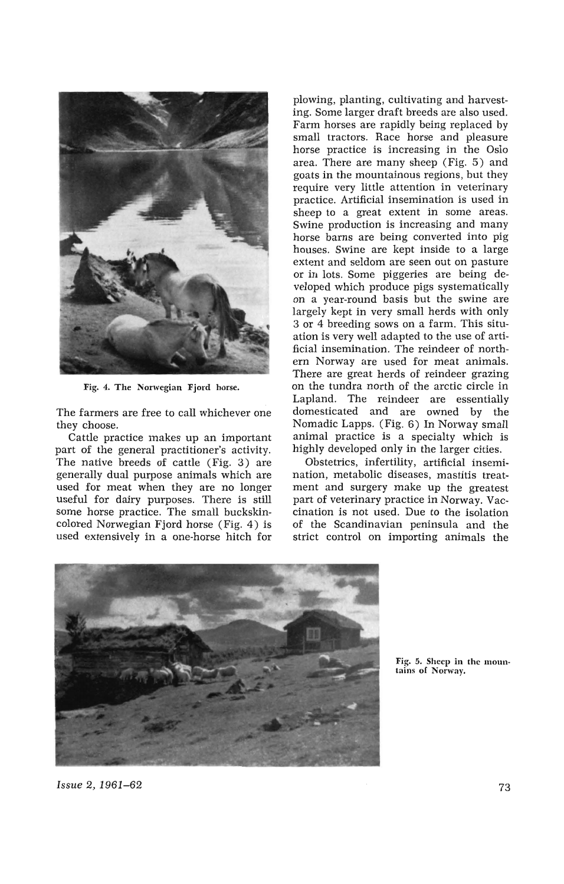

Fig. 4. The Norwegian Fjord horse.

The farmers are free to call whichever one they choose.

Cattle practice makes up an important part of the general practitioner's activity. The native breeds of cattle (Fig. 3) are generally dual purpose animals which are used for meat when they are no longer useful for dairy purposes. There is still some horse practice. The small buckskincolored Norwegian Fjord horse (Fig. 4) is used extensively in a one-horse hitch for

plowing, planting, cultivating and harvesting. Some larger draft breeds are also used. Farm horses are rapidly being replaced by small tractors. Race horse and pleasure horse practice is increasing in the Oslo area. There are many sheep (Fig. 5) and goats in the mountainous regions, but they require very little attention in veterinary practice. Artificial insemination is used in sheep to a great extent in some areas. Swine production is increasing and many horse barns are being converted into pig houses. Swine are kept inside to a large extent and seldom are seen out on pasture or in lots. Some piggeries are being developed which produce pigs systematically on a year-round basis but the swine are largely kept in very small herds with only 3 or 4 breeding sows on a farm. This situation is very well adapted to the use of artificial insemination. The reindeer of northern Norway are used for meat animals. There are great herds of reindeer grazing on the tundra north of the arctic circle in Lapland. The reindeer are essentially domesticated and are owned by the Nomadic Lapps. (Fig. 6) In Norway small animal practice is a specialty which is highly developed only in the larger cities.

Obstetrics, infertility, artificial insemination, metabolic diseases, mastitis treatment and surgery make up the greatest part of veterinary practice in Norway. Vaccination is not used. Due to the isolation of the Scandinavian peninsula and the strict control on importing animals the



Fig. 5. Sheep in the mountains of Norway.

*Issue* 2, 1961-62